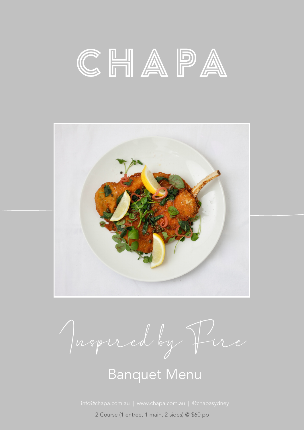



Inspired by Fire

## Banquet Menu

2 Course (1 entree, 1 main, 2 sides) @ \$60 pp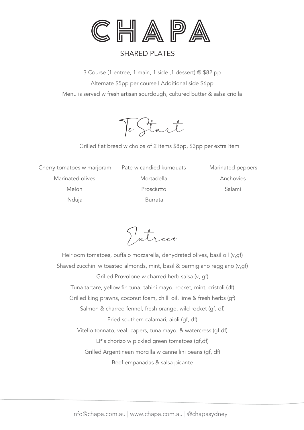

## SHARED PLATES

3 Course (1 entree, 1 main, 1 side ,1 dessert) @ \$82 pp Alternate \$5pp per course | Additional side \$6pp Menu is served w fresh artisan sourdough, cultured butter & salsa criolla

To Start

Grilled flat bread w choice of 2 items \$8pp, \$3pp per extra item

Cherry tomatoes w marjoram Marinated olives Melon Nduja

Pate w candied kumquats Mortadella Prosciutto Burrata

Marinated peppers Anchovies Salami

Entrees

Heirloom tomatoes, buffalo mozzarella, dehydrated olives, basil oil (v,gf) Shaved zucchini w toasted almonds, mint, basil & parmigiano reggiano (v,gf) Grilled Provolone w charred herb salsa (v, gf) Tuna tartare, yellow fin tuna, tahini mayo, rocket, mint, cristoli (df) Grilled king prawns, coconut foam, chilli oil, lime & fresh herbs (gf) Salmon & charred fennel, fresh orange, wild rocket (gf, df) Fried southern calamari, aioli (gf, df) Vitello tonnato, veal, capers, tuna mayo, & watercress (gf,df) LP's chorizo w pickled green tomatoes (gf,df) Grilled Argentinean morcilla w cannellini beans (gf, df) Beef empanadas & salsa picante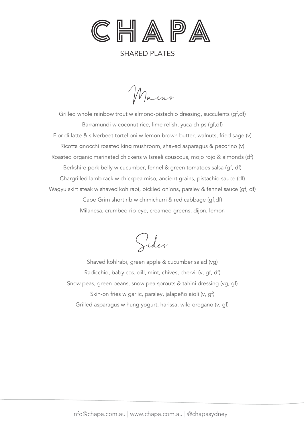

SHARED PLATES

Mains

Grilled whole rainbow trout w almond-pistachio dressing, succulents (gf,df) Barramundi w coconut rice, lime relish, yuca chips (gf,df) Fior di latte & silverbeet tortelloni w lemon brown butter, walnuts, fried sage (v) Ricotta gnocchi roasted king mushroom, shaved asparagus & pecorino (v) Roasted organic marinated chickens w Israeli couscous, mojo rojo & almonds (df) Berkshire pork belly w cucumber, fennel & green tomatoes salsa (gf, df) Chargrilled lamb rack w chickpea miso, ancient grains, pistachio sauce (df) Wagyu skirt steak w shaved kohlrabi, pickled onions, parsley & fennel sauce (gf, df) Cape Grim short rib w chimichurri & red cabbage (gf,df) Milanesa, crumbed rib-eye, creamed greens, dijon, lemon

Sides

Shaved kohlrabi, green apple & cucumber salad (vg) Radicchio, baby cos, dill, mint, chives, chervil (v, gf, df) Snow peas, green beans, snow pea sprouts & tahini dressing (vg, gf) Skin-on fries w garlic, parsley, jalapeño aioli (v, gf) Grilled asparagus w hung yogurt, harissa, wild oregano (v, gf)